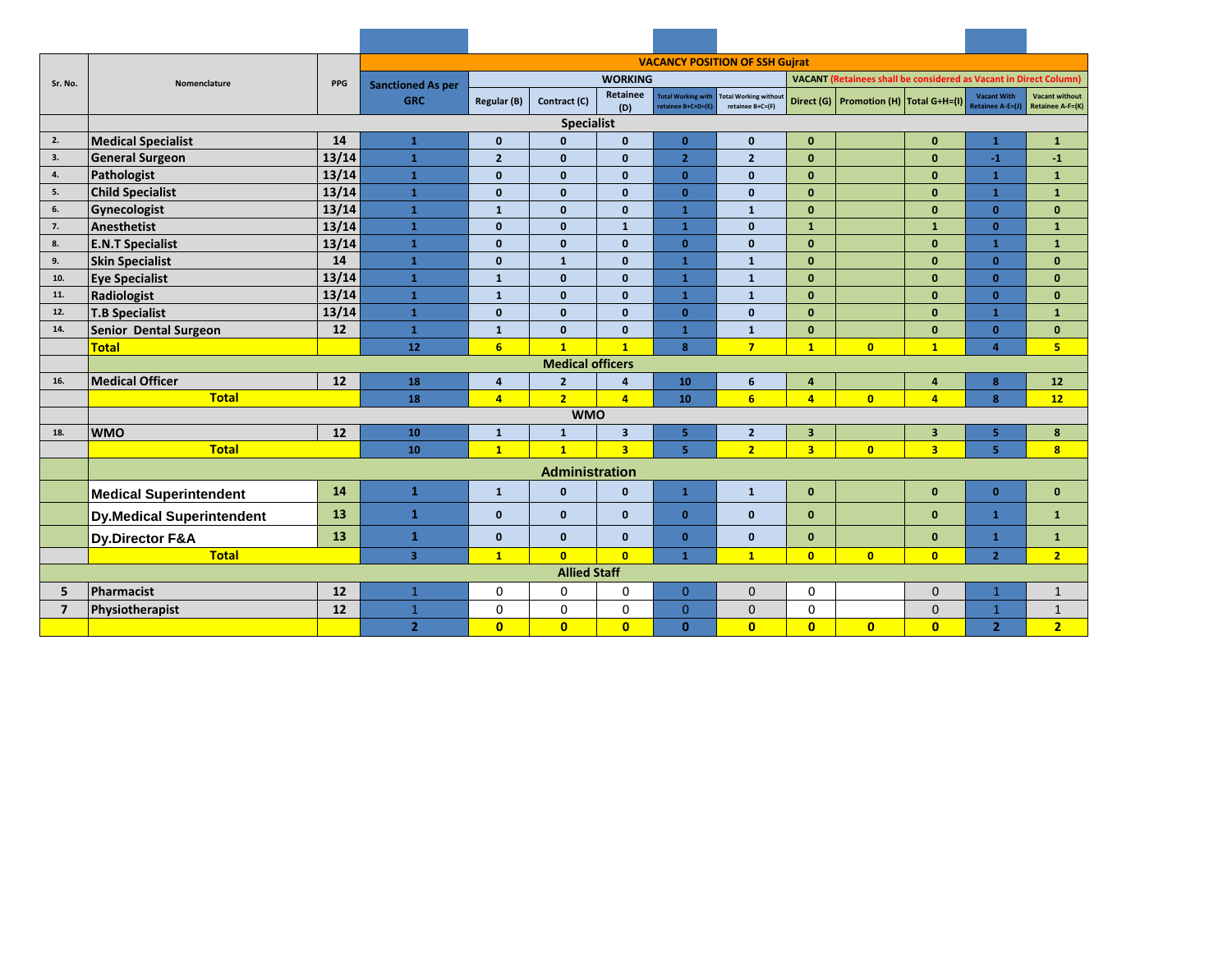|                     |                                  |                          | <b>VACANCY POSITION OF SSH Gujrat</b> |                         |                                                                                            |                         |                                                 |                                                  |                |                                        |                         |                                        |                                           |  |
|---------------------|----------------------------------|--------------------------|---------------------------------------|-------------------------|--------------------------------------------------------------------------------------------|-------------------------|-------------------------------------------------|--------------------------------------------------|----------------|----------------------------------------|-------------------------|----------------------------------------|-------------------------------------------|--|
| Sr. No.             | Nomenclature                     | <b>PPG</b>               | <b>Sanctioned As per</b>              |                         | <b>WORKING</b><br><b>VACANT</b> (Retainees shall be considered as Vacant in Direct Column) |                         |                                                 |                                                  |                |                                        |                         |                                        |                                           |  |
|                     |                                  |                          | <b>GRC</b>                            | Regular (B)             | Contract (C)                                                                               | Retainee                | <b>Total Working with</b><br>retainee B+C+D=(E) | <b>Total Working without</b><br>retainee B+C=(F) |                | Direct (G) Promotion (H) Total G+H=(I) |                         | <b>Vacant With</b><br>Retainee A-E=(J) | <b>Vacant without</b><br>Retainee A-F=(K) |  |
|                     |                                  | (D)<br><b>Specialist</b> |                                       |                         |                                                                                            |                         |                                                 |                                                  |                |                                        |                         |                                        |                                           |  |
| 2.                  | <b>Medical Specialist</b>        | $\mathbf{1}$             | $\mathbf{0}$                          | $\mathbf{0}$            | $\mathbf{0}$                                                                               | $\mathbf{0}$            | $\mathbf{0}$                                    | $\mathbf{0}$                                     |                | $\mathbf{0}$                           | $\mathbf{1}$            | $\mathbf{1}$                           |                                           |  |
| 3.                  | <b>General Surgeon</b>           | 14<br>13/14              | $\mathbf{1}$                          | $\overline{2}$          | $\mathbf{0}$                                                                               | $\mathbf{0}$            | 2 <sup>1</sup>                                  | $\overline{2}$                                   | $\mathbf{0}$   |                                        | $\mathbf{0}$            | $-1$                                   | $-1$                                      |  |
| 4.                  | Pathologist                      | 13/14                    | $\mathbf{1}$                          | $\mathbf{0}$            | $\mathbf{0}$                                                                               | $\mathbf{0}$            | $\mathbf{0}$                                    | $\mathbf{0}$                                     | $\mathbf{0}$   |                                        | $\mathbf{0}$            | $\mathbf{1}$                           | $\mathbf{1}$                              |  |
| 5.                  | <b>Child Specialist</b>          | 13/14                    | $\mathbf{1}$                          | $\mathbf{0}$            | $\mathbf{0}$                                                                               | $\mathbf{0}$            | $\mathbf{0}$                                    | $\mathbf{0}$                                     | $\mathbf{0}$   |                                        | $\mathbf{0}$            | $\mathbf{1}$                           | $\mathbf{1}$                              |  |
| 6.                  | Gynecologist                     | 13/14                    | $\mathbf{1}$                          | $\mathbf{1}$            | $\mathbf{0}$                                                                               | $\mathbf{0}$            | $\mathbf{1}$                                    | $\mathbf{1}$                                     | $\mathbf{0}$   |                                        | $\mathbf{0}$            | $\mathbf{0}$                           | $\mathbf{0}$                              |  |
| 7.                  | Anesthetist                      | 13/14                    | $\mathbf{1}$                          | $\mathbf{0}$            | $\mathbf{0}$                                                                               | $\mathbf{1}$            | $\mathbf{1}$                                    | $\mathbf{0}$                                     | $\mathbf{1}$   |                                        | $\mathbf{1}$            | $\mathbf{0}$                           | $\mathbf{1}$                              |  |
| 8.                  | <b>E.N.T Specialist</b>          | 13/14                    | $\mathbf{1}$                          | $\mathbf{0}$            | $\mathbf{0}$                                                                               | $\mathbf 0$             | $\mathbf{0}$                                    | $\mathbf{0}$                                     | $\mathbf{0}$   |                                        | $\mathbf{0}$            | $\mathbf{1}$                           | $\mathbf{1}$                              |  |
| 9.                  | <b>Skin Specialist</b>           | 14                       | $\mathbf{1}$                          | $\mathbf{0}$            | $\mathbf{1}$                                                                               | $\mathbf{0}$            | $\mathbf{1}$                                    | $\mathbf{1}$                                     | $\mathbf{0}$   |                                        | $\mathbf{0}$            | $\mathbf{0}$                           | $\mathbf{0}$                              |  |
| 10.                 | <b>Eye Specialist</b>            | 13/14                    | $\mathbf{1}$                          | $\mathbf{1}$            | $\mathbf{0}$                                                                               | $\mathbf{0}$            | $\mathbf{1}$                                    | $\mathbf{1}$                                     | $\mathbf{0}$   |                                        | $\mathbf{0}$            | $\mathbf{0}$                           | $\mathbf{0}$                              |  |
| 11.                 | Radiologist                      | 13/14                    | $\mathbf{1}$                          | $\mathbf{1}$            | $\mathbf{0}$                                                                               | $\mathbf{0}$            | $\mathbf{1}$                                    | $\mathbf{1}$                                     | $\mathbf{0}$   |                                        | $\mathbf{0}$            | $\mathbf{0}$                           | $\bf{0}$                                  |  |
| 12.                 | <b>T.B Specialist</b>            | 13/14                    | $\mathbf{1}$                          | $\mathbf{0}$            | $\mathbf{0}$                                                                               | $\mathbf{0}$            | $\mathbf{0}$                                    | $\mathbf{0}$                                     | $\mathbf{0}$   |                                        | $\mathbf{0}$            | $\mathbf{1}$                           | $\mathbf{1}$                              |  |
| 14.                 | Senior Dental Surgeon            | 12                       | $\mathbf{1}$                          | $\mathbf{1}$            | $\mathbf{0}$                                                                               | $\mathbf{0}$            | $\mathbf{1}$                                    | $\mathbf{1}$                                     | $\mathbf{0}$   |                                        | $\mathbf{0}$            | $\mathbf{0}$                           | $\mathbf{0}$                              |  |
|                     | <b>Total</b>                     |                          | 12                                    | 6 <sup>1</sup>          | $\overline{1}$                                                                             | $\overline{1}$          | 8                                               | $\overline{7}$                                   | $\mathbf{1}$   | $\overline{0}$                         | $\mathbf{1}$            | $\overline{4}$                         | $\overline{\mathbf{5}}$                   |  |
|                     |                                  |                          |                                       |                         | <b>Medical officers</b>                                                                    |                         |                                                 |                                                  |                |                                        |                         |                                        |                                           |  |
| 16.                 | <b>Medical Officer</b>           | 12                       | 18                                    | $\overline{4}$          | $\overline{2}$                                                                             | $\overline{4}$          | 10                                              | 6                                                | $\overline{4}$ |                                        | $\overline{4}$          | 8                                      | 12                                        |  |
| <b>Total</b>        |                                  |                          | 18                                    | $\overline{4}$          | $\overline{2}$                                                                             | $\overline{4}$          | 10                                              | 6 <sup>1</sup>                                   | $\overline{4}$ | $\overline{0}$                         | $\overline{4}$          | 8                                      | 12                                        |  |
|                     |                                  |                          |                                       |                         | <b>WMO</b>                                                                                 |                         |                                                 |                                                  |                |                                        |                         |                                        |                                           |  |
| 18.                 | <b>WMO</b>                       | 12                       | 10                                    | $\mathbf{1}$            | $\mathbf{1}$                                                                               | $\overline{\mathbf{3}}$ | 5 <sup>1</sup>                                  | $\overline{2}$                                   | $\overline{3}$ |                                        | $\overline{\mathbf{3}}$ | 5 <sup>1</sup>                         | 8                                         |  |
|                     | <b>Total</b>                     | 10                       | $\mathbf{1}$                          | $\overline{1}$          | $\overline{\mathbf{3}}$                                                                    | 5.                      | $\overline{2}$                                  | $\overline{3}$                                   | $\overline{0}$ | $\overline{3}$                         | 5                       | $\overline{\mathbf{8}}$                |                                           |  |
|                     |                                  |                          |                                       |                         | Administration                                                                             |                         |                                                 |                                                  |                |                                        |                         |                                        |                                           |  |
|                     | Medical Superintendent           | 14                       | $\mathbf{1}$                          | $\mathbf{1}$            | $\mathbf{0}$                                                                               | $\mathbf{0}$            | $\mathbf{1}$                                    | $\mathbf{1}$                                     | $\mathbf{0}$   |                                        | $\mathbf{0}$            | $\mathbf{0}$                           | $\mathbf{0}$                              |  |
|                     | <b>Dy.Medical Superintendent</b> | 13                       | $\mathbf{1}$                          | $\mathbf{0}$            | $\mathbf{0}$                                                                               | $\mathbf{0}$            | $\mathbf{0}$                                    | $\mathbf{0}$                                     | $\mathbf{0}$   |                                        | $\mathbf{0}$            | $\mathbf{1}$                           | $\mathbf{1}$                              |  |
|                     | Dy.Director F&A                  | 13                       | $\mathbf{1}$                          | $\mathbf{0}$            | $\mathbf{0}$                                                                               | $\mathbf{0}$            | $\mathbf{0}$                                    | $\mathbf{0}$                                     | $\mathbf{0}$   |                                        | $\mathbf{0}$            | $\mathbf{1}$                           | $\mathbf{1}$                              |  |
|                     | <b>Total</b>                     |                          | $\overline{3}$                        | $\mathbf{1}$            | $\mathbf{0}$                                                                               | $\mathbf{0}$            | $\mathbf{1}$                                    | $\mathbf{1}$                                     | $\mathbf{0}$   | $\mathbf{0}$                           | $\mathbf{0}$            | 2 <sup>1</sup>                         | 2 <sup>1</sup>                            |  |
| <b>Allied Staff</b> |                                  |                          |                                       |                         |                                                                                            |                         |                                                 |                                                  |                |                                        |                         |                                        |                                           |  |
| 5                   | Pharmacist                       | 12                       | $\mathbf{1}$                          | $\Omega$                | $\Omega$                                                                                   | $\Omega$                | $\overline{0}$                                  | $\Omega$                                         | $\Omega$       |                                        | $\Omega$                | $\mathbf{1}$                           | $\mathbf{1}$                              |  |
| $\overline{7}$      | Physiotherapist                  | 12                       | $\mathbf{1}$                          | 0                       | $\mathbf 0$                                                                                | $\mathbf 0$             | $\overline{0}$                                  | $\mathbf{0}$                                     | $\mathbf 0$    |                                        | $\overline{0}$          | $\mathbf{1}$                           | $\mathbf{1}$                              |  |
|                     |                                  |                          | $\overline{2}$                        | $\overline{\mathbf{0}}$ | $\overline{0}$                                                                             | $\overline{0}$          | $\mathbf{0}$                                    | $\mathbf{0}$                                     | $\overline{0}$ | $\overline{0}$                         | $\overline{0}$          | $\overline{2}$                         | $\overline{2}$                            |  |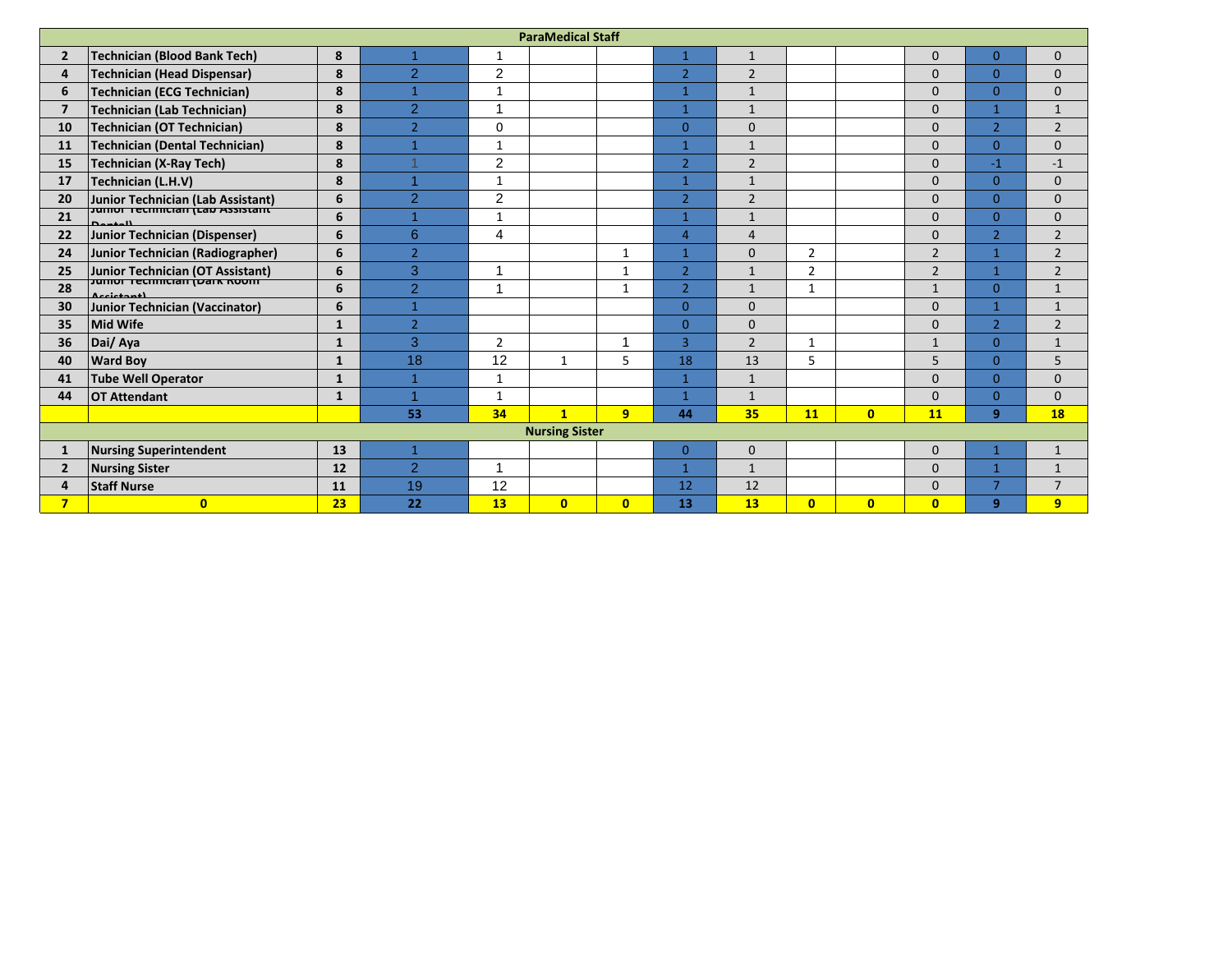| <b>ParaMedical Staff</b> |                                            |              |                |                |              |              |                |                |                |                |                |                |                |
|--------------------------|--------------------------------------------|--------------|----------------|----------------|--------------|--------------|----------------|----------------|----------------|----------------|----------------|----------------|----------------|
| $\overline{2}$           | Technician (Blood Bank Tech)               | 8            | $\overline{1}$ | 1              |              |              | $\mathbf{1}$   | $\mathbf{1}$   |                |                | $\mathbf{0}$   | $\overline{0}$ | $\mathbf{0}$   |
| 4                        | Technician (Head Dispensar)                | 8            | $\overline{2}$ | $\overline{2}$ |              |              | $\overline{2}$ | $\overline{2}$ |                |                | $\Omega$       | $\Omega$       | $\mathbf{0}$   |
| 6                        | <b>Technician (ECG Technician)</b>         | 8            | $\mathbf{1}$   | $\mathbf{1}$   |              |              | $\mathbf{1}$   | $\mathbf{1}$   |                |                | $\Omega$       | $\overline{0}$ | $\mathbf{0}$   |
| $\overline{7}$           | Technician (Lab Technician)                | 8            | $\overline{2}$ | ٠              |              |              | 1              | $\mathbf{1}$   |                |                | $\Omega$       | $\mathbf{1}$   | $\mathbf{1}$   |
| 10                       | Technician (OT Technician)                 | 8            | $\overline{2}$ | $\Omega$       |              |              | $\overline{0}$ | $\mathbf{0}$   |                |                | $\Omega$       | $\overline{2}$ | $\overline{2}$ |
| 11                       | <b>Technician (Dental Technician)</b>      | 8            | $\overline{1}$ | $\mathbf{1}$   |              |              | 1              | $\mathbf{1}$   |                |                | $\Omega$       | $\overline{0}$ | $\mathbf{0}$   |
| 15                       | Technician (X-Ray Tech)                    | 8            |                | $\overline{c}$ |              |              | $\overline{2}$ | $\overline{2}$ |                |                | $\Omega$       | $-1$           | $-1$           |
| 17                       | Technician (L.H.V)                         | 8            |                | 1              |              |              | 1              | $\mathbf{1}$   |                |                | $\Omega$       | $\overline{0}$ | $\mathbf{0}$   |
| 20                       | Junior Technician (Lab Assistant)          | 6            | 2              | 2              |              |              | $\overline{2}$ | $\overline{2}$ |                |                | $\Omega$       | $\overline{0}$ | $\mathbf{0}$   |
| 21                       | Jumor Tecmncian (Lao Assistant)<br>Dansell | 6            | $\overline{1}$ | 1              |              |              | 1              | $\mathbf{1}$   |                |                | $\Omega$       | $\overline{0}$ | $\mathbf{0}$   |
| 22                       | Junior Technician (Dispenser)              | 6            | 6              | 4              |              |              | $\overline{4}$ | $\overline{4}$ |                |                | $\Omega$       | $\overline{2}$ | $\overline{2}$ |
| 24                       | Junior Technician (Radiographer)           | 6            | $\overline{2}$ |                |              | $\mathbf{1}$ | $\overline{1}$ | $\Omega$       | $\overline{2}$ |                | $\overline{2}$ | $\mathbf{1}$   | $\overline{2}$ |
| 25                       | Junior Technician (OT Assistant)           | 6            | 3              | ٠              |              | 1            | $\overline{2}$ | $\mathbf{1}$   | $\overline{2}$ |                | $\overline{2}$ | $\mathbf{1}$   | $\overline{2}$ |
| 28                       | <b>Jumor Technician (Dark Room</b>         | 6            | $\overline{2}$ | ٠              |              | -1           | $\overline{2}$ | $\mathbf{1}$   | 1              |                | $\mathbf{1}$   | $\overline{0}$ | $1\,$          |
| 30                       | Junior Technician (Vaccinator)             | 6            | $\mathbf{1}$   |                |              |              | $\Omega$       | $\mathbf{0}$   |                |                | $\Omega$       | $\mathbf{1}$   | $\mathbf{1}$   |
| 35                       | <b>Mid Wife</b>                            | $\mathbf{1}$ | $\overline{2}$ |                |              |              | $\Omega$       | $\Omega$       |                |                | $\Omega$       | $\overline{2}$ | $\overline{2}$ |
| 36                       | Dai/ Aya                                   | $\mathbf{1}$ | 3              | $\overline{2}$ |              |              | $\overline{3}$ | $\overline{2}$ |                |                | $\mathbf{1}$   | $\overline{0}$ | $\mathbf{1}$   |
| 40                       | <b>Ward Boy</b>                            | $\mathbf{1}$ | 18             | 12             | $\mathbf{1}$ | 5            | 18             | 13             | 5.             |                | 5              | $\overline{0}$ | 5              |
| 41                       | <b>Tube Well Operator</b>                  | $\mathbf{1}$ | $\mathbf{1}$   | 1              |              |              | 1              | $\mathbf{1}$   |                |                | $\mathbf{0}$   | $\overline{0}$ | $\mathbf{0}$   |
| 44                       | <b>OT Attendant</b>                        | $\mathbf{1}$ | и              | $\mathbf{1}$   |              |              | 1              | $\mathbf{1}$   |                |                | $\Omega$       | $\Omega$       | $\mathbf{0}$   |
|                          |                                            |              | 53             | 34             | $\mathbf{1}$ | 9            | 44             | 35             | 11             | $\mathbf{0}$   | 11             | 9              | <b>18</b>      |
| <b>Nursing Sister</b>    |                                            |              |                |                |              |              |                |                |                |                |                |                |                |
| 1                        | <b>Nursing Superintendent</b>              | 13           | $\overline{1}$ |                |              |              | $\overline{0}$ | $\mathbf{0}$   |                |                | $\mathbf{0}$   |                | $\mathbf{1}$   |
| $\overline{2}$           | <b>Nursing Sister</b>                      | 12           | $\overline{2}$ | -1             |              |              | 1              | $\mathbf{1}$   |                |                | $\Omega$       | 1              | $\mathbf{1}$   |
| 4                        | <b>Staff Nurse</b>                         | 11           | 19             | 12             |              |              | 12             | 12             |                |                | $\Omega$       | $\overline{7}$ | $\overline{7}$ |
| $\overline{\mathbf{z}}$  | $\mathbf{0}$                               | 23           | 22             | 13             | $\mathbf{0}$ | $\mathbf{0}$ | 13             | 13             | $\overline{0}$ | $\overline{0}$ | $\overline{0}$ | 9              | 9              |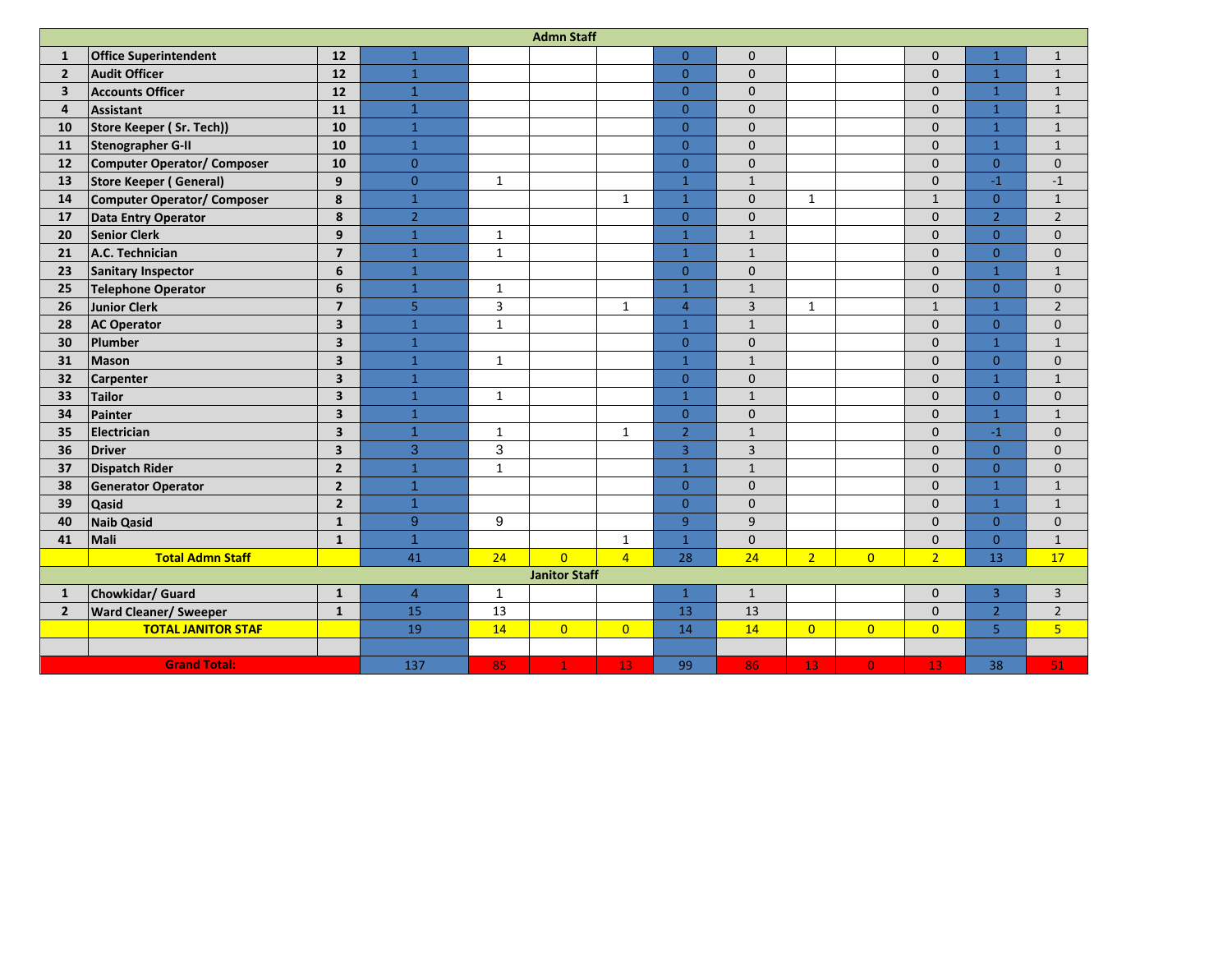| <b>Admn Staff</b>       |                              |                         |                |                |                |                |                |                |                |                |                |                |                |
|-------------------------|------------------------------|-------------------------|----------------|----------------|----------------|----------------|----------------|----------------|----------------|----------------|----------------|----------------|----------------|
| $\mathbf{1}$            | <b>Office Superintendent</b> | 12                      | $\mathbf{1}$   |                |                |                | $\overline{0}$ | $\mathbf{0}$   |                |                | $\mathbf{0}$   | $\mathbf{1}$   | $\mathbf{1}$   |
| $\overline{2}$          | <b>Audit Officer</b>         | 12                      | $\mathbf{1}$   |                |                |                | $\overline{0}$ | $\mathbf{0}$   |                |                | $\Omega$       | $\mathbf{1}$   | $\mathbf{1}$   |
| $\overline{\mathbf{3}}$ | <b>Accounts Officer</b>      | 12                      | $\overline{1}$ |                |                |                | $\overline{0}$ | $\mathbf{0}$   |                |                | $\Omega$       | $\mathbf{1}$   | $1\,$          |
| 4                       | <b>Assistant</b>             | 11                      | $\overline{1}$ |                |                |                | $\overline{0}$ | $\mathbf{0}$   |                |                | $\mathbf{0}$   | $\mathbf{1}$   | $\mathbf{1}$   |
| 10                      | Store Keeper (Sr. Tech))     | 10                      | $\mathbf{1}$   |                |                |                | $\Omega$       | $\Omega$       |                |                | $\Omega$       | $\mathbf{1}$   | $1\,$          |
| 11                      | <b>Stenographer G-II</b>     | 10                      | $\mathbf{1}$   |                |                |                | $\overline{0}$ | $\mathbf{0}$   |                |                | $\overline{0}$ | $\mathbf{1}$   | $\mathbf 1$    |
| 12                      | Computer Operator/ Composer  | 10                      | $\overline{0}$ |                |                |                | $\overline{0}$ | $\mathbf 0$    |                |                | $\mathbf 0$    | $\overline{0}$ | $\mathbf 0$    |
| 13                      | Store Keeper (General)       | 9                       | $\overline{0}$ | $\mathbf{1}$   |                |                | $\mathbf{1}$   | $\mathbf{1}$   |                |                | $\mathbf{0}$   | $-1$           | $-1$           |
| 14                      | Computer Operator/ Composer  | 8                       | $\overline{1}$ |                |                | $\mathbf{1}$   | $\overline{1}$ | $\mathbf{0}$   | $\mathbf{1}$   |                | $\mathbf{1}$   | $\overline{0}$ | $\mathbf{1}$   |
| 17                      | Data Entry Operator          | 8                       | $\overline{2}$ |                |                |                | $\Omega$       | $\mathbf{0}$   |                |                | $\Omega$       | $\overline{2}$ | $\overline{2}$ |
| 20                      | <b>Senior Clerk</b>          | 9                       | $\mathbf{1}$   | $\mathbf{1}$   |                |                | $\mathbf{1}$   | $\mathbf{1}$   |                |                | $\mathbf{0}$   | $\overline{0}$ | $\mathbf 0$    |
| 21                      | A.C. Technician              | $\overline{7}$          | $\mathbf{1}$   | $\mathbf{1}$   |                |                | $\mathbf{1}$   | $\mathbf{1}$   |                |                | $\mathbf{0}$   | $\overline{0}$ | $\mathbf 0$    |
| 23                      | <b>Sanitary Inspector</b>    | 6                       | $\mathbf{1}$   |                |                |                | $\overline{0}$ | $\mathbf 0$    |                |                | $\mathbf{0}$   | $\mathbf{1}$   | $\mathbf{1}$   |
| 25                      | Telephone Operator           | 6                       | $\mathbf{1}$   | $\mathbf{1}$   |                |                | $\overline{1}$ | $\mathbf{1}$   |                |                | $\mathbf{0}$   | $\overline{0}$ | $\mathbf 0$    |
| 26                      | <b>Junior Clerk</b>          | $\overline{7}$          | 5 <sub>o</sub> | 3              |                | $\mathbf{1}$   | $\overline{4}$ | $\overline{3}$ | $\mathbf{1}$   |                | $\mathbf{1}$   | $\mathbf{1}$   | $\overline{2}$ |
| 28                      | <b>AC Operator</b>           | 3                       | $\mathbf{1}$   | $\mathbf{1}$   |                |                | $\overline{1}$ | $\mathbf{1}$   |                |                | $\mathbf{0}$   | $\overline{0}$ | $\mathbf{0}$   |
| 30                      | Plumber                      | 3                       | $\mathbf{1}$   |                |                |                | $\overline{0}$ | $\pmb{0}$      |                |                | $\mathbf{0}$   | $\mathbf{1}$   | $1\,$          |
| 31                      | Mason                        | 3                       | $\mathbf{1}$   | $\mathbf{1}$   |                |                | $\mathbf{1}$   | $\mathbf{1}$   |                |                | $\mathbf{0}$   | $\overline{0}$ | $\mathbf 0$    |
| 32                      | <b>Carpenter</b>             | $\overline{\mathbf{3}}$ | $\mathbf{1}$   |                |                |                | $\overline{0}$ | $\mathbf{0}$   |                |                | $\mathbf{0}$   | $\mathbf{1}$   | $\mathbf{1}$   |
| 33                      | <b>Tailor</b>                | 3                       | $\mathbf{1}$   | $\mathbf{1}$   |                |                | $\overline{1}$ | $\mathbf{1}$   |                |                | $\overline{0}$ | $\overline{0}$ | $\mathbf 0$    |
| 34                      | Painter                      | 3                       | $\mathbf{1}$   |                |                |                | $\overline{0}$ | $\mathbf{0}$   |                |                | $\mathbf{0}$   | $\mathbf{1}$   | $\mathbf{1}$   |
| 35                      | Electrician                  | $\overline{\mathbf{3}}$ | $\overline{1}$ | $\mathbf{1}$   |                | $\mathbf{1}$   | $\overline{2}$ | $\mathbf{1}$   |                |                | $\overline{0}$ | $-1$           | $\mathbf 0$    |
| 36                      | <b>Driver</b>                | $\overline{\mathbf{3}}$ | 3              | $\overline{3}$ |                |                | $\overline{3}$ | $\overline{3}$ |                |                | $\mathbf{0}$   | $\overline{0}$ | $\mathbf 0$    |
| 37                      | <b>Dispatch Rider</b>        | $\overline{2}$          | $\mathbf{1}$   | $\mathbf{1}$   |                |                | $\overline{1}$ | $\mathbf{1}$   |                |                | $\mathbf{0}$   | $\overline{0}$ | $\mathbf 0$    |
| 38                      | <b>Generator Operator</b>    | $\overline{2}$          | $\overline{1}$ |                |                |                | $\overline{0}$ | $\mathbf{0}$   |                |                | $\Omega$       | $\mathbf{1}$   | $\mathbf 1$    |
| 39                      | <b>Qasid</b>                 | $\overline{2}$          | $\overline{1}$ |                |                |                | $\overline{0}$ | $\mathbf{0}$   |                |                | $\mathbf{0}$   | $\mathbf{1}$   | $\mathbf{1}$   |
| 40                      | <b>Naib Qasid</b>            | $\mathbf{1}$            | 9              | 9              |                |                | $\overline{9}$ | 9              |                |                | $\Omega$       | $\overline{0}$ | $\mathbf{0}$   |
| 41                      | Mali                         | $\mathbf{1}$            | $\overline{1}$ |                |                | $\mathbf{1}$   | $\mathbf{1}$   | $\mathbf 0$    |                |                | $\mathbf 0$    | $\overline{0}$ | $\mathbf 1$    |
|                         | <b>Total Admn Staff</b>      |                         | 41             | 24             | $\overline{0}$ | $\overline{4}$ | 28             | 24             | 2 <sup>1</sup> | $\overline{0}$ | $\overline{2}$ | 13             | 17             |
| <b>Janitor Staff</b>    |                              |                         |                |                |                |                |                |                |                |                |                |                |                |
| $\mathbf{1}$            | Chowkidar/ Guard             | $\mathbf{1}$            | $\overline{4}$ | $\overline{1}$ |                |                | $\mathbf{1}$   | $\mathbf{1}$   |                |                | $\mathbf{0}$   | 3              | $\mathsf 3$    |
| $2^{\circ}$             | <b>Ward Cleaner/ Sweeper</b> | $\mathbf{1}$            | 15             | 13             |                |                | 13             | 13             |                |                | $\mathbf{0}$   | $\overline{2}$ | $\overline{2}$ |
|                         | <b>TOTAL JANITOR STAF</b>    |                         | 19             | 14             | $\overline{0}$ | $\overline{0}$ | 14             | 14             | $\overline{0}$ | $\overline{0}$ | $\overline{0}$ | $\overline{5}$ | $\overline{5}$ |
|                         |                              |                         |                |                |                |                |                |                |                |                |                |                |                |
| <b>Grand Total:</b>     |                              |                         | 137            | 85             | $\mathbf{1}$   | 13             | 99             | 86             | 13             | $\overline{0}$ | 13             | 38             | 51             |